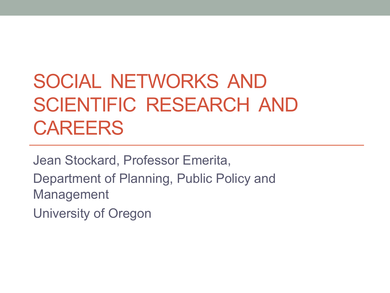### SOCIAL NETWORKS AND SCIENTIFIC RESEARCH AND CAREERS

Jean Stockard, Professor Emerita, Department of Planning, Public Policy and Management

University of Oregon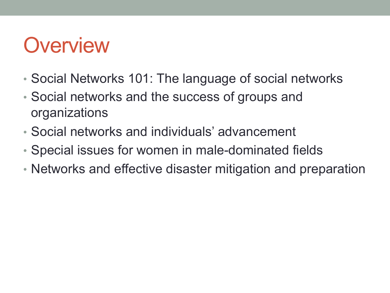### **Overview**

- Social Networks 101: The language of social networks
- Social networks and the success of groups and organizations
- Social networks and individuals' advancement
- Special issues for women in male-dominated fields
- Networks and effective disaster mitigation and preparation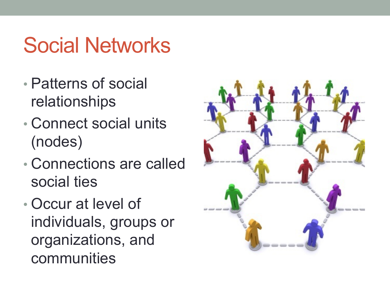# Social Networks

- Patterns of social relationships
- Connect social units (nodes)
- Connections are called social ties
- Occur at level of individuals, groups or organizations, and communities

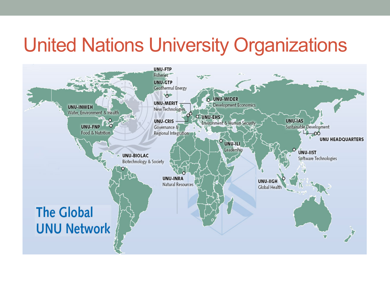#### United Nations University Organizations

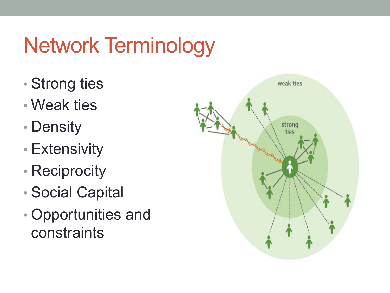# Network Terminology

- Strong ties
- Weak ties
- Density
- Extensivity
- Reciprocity
- Social Capital
- Opportunities and constraints

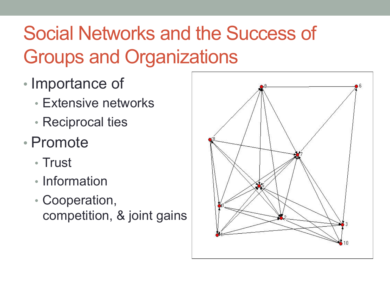## Social Networks and the Success of Groups and Organizations

- Importance of
	- Extensive networks
	- Reciprocal ties
- Promote
	- Trust
	- Information
	- Cooperation, competition, & joint gains

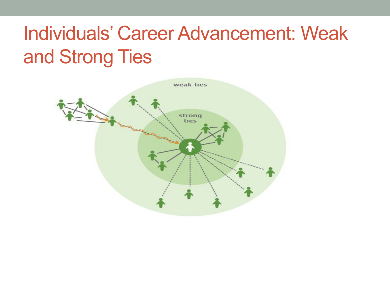#### Individuals' Career Advancement: Weak and Strong Ties

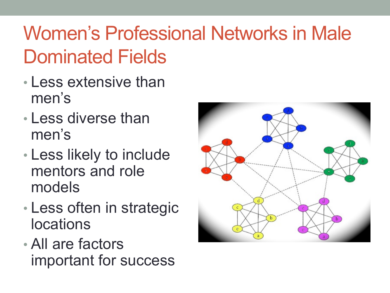## Women's Professional Networks in Male Dominated Fields

- Less extensive than men's
- Less diverse than men's
- Less likely to include mentors and role models
- Less often in strategic locations
- All are factors important for success

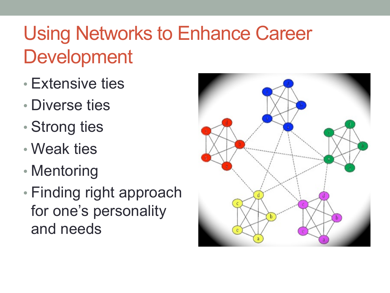## Using Networks to Enhance Career Development

- Extensive ties
- Diverse ties
- Strong ties
- Weak ties
- Mentoring
- Finding right approach for one's personality and needs

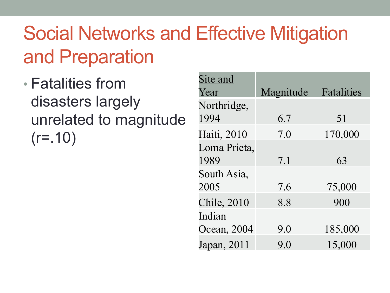### Social Networks and Effective Mitigation and Preparation

• Fatalities from disasters largely unrelated to magnitude  $(r=.10)$ 

| Site and            |           |            |
|---------------------|-----------|------------|
| Year                | Magnitude | Fatalities |
| Northridge,         |           |            |
| 1994                | 6.7       | 51         |
| Haiti, 2010         | 7.0       | 170,000    |
| Loma Prieta,        |           |            |
| 1989                | 7.1       | 63         |
| South Asia,         |           |            |
| 2005                | 7.6       | 75,000     |
| <b>Chile</b> , 2010 | 8.8       | 900        |
| Indian              |           |            |
| Ocean, 2004         | 9.0       | 185,000    |
| Japan, 2011         | 9.0       | 15,000     |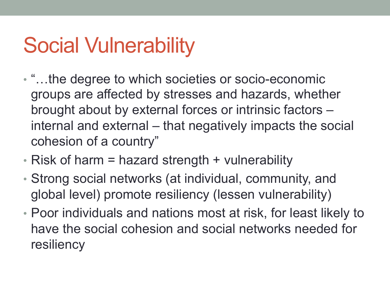# Social Vulnerability

- "…the degree to which societies or socio-economic groups are affected by stresses and hazards, whether brought about by external forces or intrinsic factors – internal and external – that negatively impacts the social cohesion of a country"
- Risk of harm = hazard strength + vulnerability
- Strong social networks (at individual, community, and global level) promote resiliency (lessen vulnerability)
- Poor individuals and nations most at risk, for least likely to have the social cohesion and social networks needed for resiliency